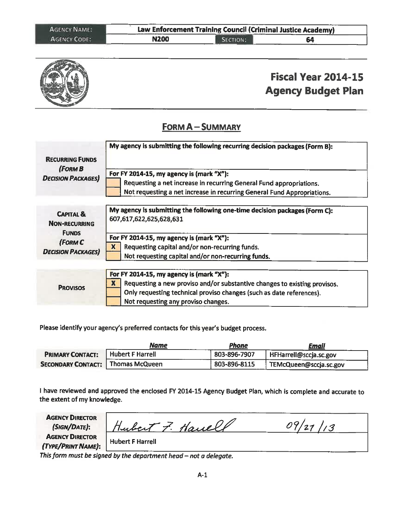| <b>AGENCY NAME:</b> |             | Law Enforcement Training Council (Criminal Justice Academy) |             |  |
|---------------------|-------------|-------------------------------------------------------------|-------------|--|
| <b>AGENCY CODE:</b> | <b>N200</b> | SECTION:                                                    | 64<br>----- |  |



# **Fiscal Year 2014-15 Agency Budget Plan**

#### **FORM A-SUMMARY**

| <b>RECURRING FUNDS</b>                                                                              | My agency is submitting the following recurring decision packages (Form B):                                                                                                                                                                                    |
|-----------------------------------------------------------------------------------------------------|----------------------------------------------------------------------------------------------------------------------------------------------------------------------------------------------------------------------------------------------------------------|
| (FORM B<br><b>DECISION PACKAGES</b>                                                                 | For FY 2014-15, my agency is (mark "X"):                                                                                                                                                                                                                       |
|                                                                                                     | Requesting a net increase in recurring General Fund appropriations.                                                                                                                                                                                            |
|                                                                                                     | Not requesting a net increase in recurring General Fund Appropriations.                                                                                                                                                                                        |
| <b>CAPITAL &amp;</b><br><b>NON-RECURRING</b><br><b>FUNDS</b><br>(FORM C<br><b>DECISION PACKAGES</b> | My agency is submitting the following one-time decision packages (Form C):<br>607,617,622,625,628,631<br>For FY 2014-15, my agency is (mark "X"):<br>X<br>Requesting capital and/or non-recurring funds.<br>Not requesting capital and/or non-recurring funds. |
| <b>PROVISOS</b>                                                                                     | For FY 2014-15, my agency is (mark "X"):<br>X<br>Requesting a new proviso and/or substantive changes to existing provisos.<br>Only requesting technical proviso changes (such as date references).<br>Not requesting any proviso changes.                      |

Please identify your agency's preferred contacts for this year's budget process.

|                           | Name                    | <u>Phone</u> | <u>Email</u>           |
|---------------------------|-------------------------|--------------|------------------------|
| <b>PRIMARY CONTACT:</b>   | <b>Hubert F Harrell</b> | 803-896-7907 | HFHarrell@sccja.sc.gov |
| <b>SECONDARY CONTACT:</b> | Thomas McQueen          | 803-896-8115 | FEMcQueen@sccja.sc.gov |

I have reviewed and approved the enclosed FY 2014-15 Agency Budget Plan, which is complete and accurate to the extent of my knowledge.

**AGENCY DIRECTOR** 09/27/13 Hubert 7. Havell (SIGN/DATE): **AGENCY DIRECTOR Hubert F Harrell** (TYPE/PRINT NAME):

This form must be signed by the department head - not a delegate.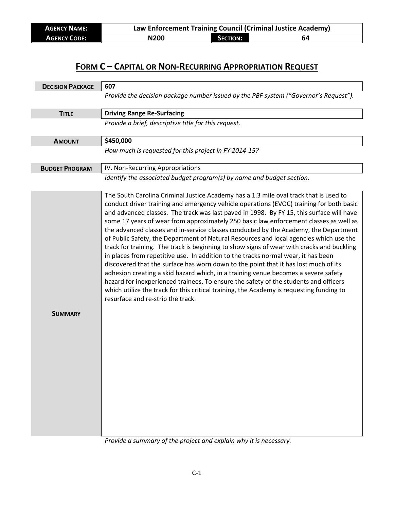| <b>AGENCY NAME:</b> | Law Enforcement Training Council (Criminal Justice Academy) |                 |    |
|---------------------|-------------------------------------------------------------|-----------------|----|
| <b>AGENCY CODE:</b> | N200                                                        | <b>SECTION:</b> | 64 |

| <b>DECISION PACKAGE</b> | 607                                                                                                                                                                                                                                                                                                                                                                                                                                                                                                                                                                                                                                                                                                                                                                                                                                                                                                                                                                                                                                                    |
|-------------------------|--------------------------------------------------------------------------------------------------------------------------------------------------------------------------------------------------------------------------------------------------------------------------------------------------------------------------------------------------------------------------------------------------------------------------------------------------------------------------------------------------------------------------------------------------------------------------------------------------------------------------------------------------------------------------------------------------------------------------------------------------------------------------------------------------------------------------------------------------------------------------------------------------------------------------------------------------------------------------------------------------------------------------------------------------------|
|                         | Provide the decision package number issued by the PBF system ("Governor's Request").                                                                                                                                                                                                                                                                                                                                                                                                                                                                                                                                                                                                                                                                                                                                                                                                                                                                                                                                                                   |
| <b>TITLE</b>            | <b>Driving Range Re-Surfacing</b>                                                                                                                                                                                                                                                                                                                                                                                                                                                                                                                                                                                                                                                                                                                                                                                                                                                                                                                                                                                                                      |
|                         | Provide a brief, descriptive title for this request.                                                                                                                                                                                                                                                                                                                                                                                                                                                                                                                                                                                                                                                                                                                                                                                                                                                                                                                                                                                                   |
| <b>AMOUNT</b>           | \$450,000                                                                                                                                                                                                                                                                                                                                                                                                                                                                                                                                                                                                                                                                                                                                                                                                                                                                                                                                                                                                                                              |
|                         | How much is requested for this project in FY 2014-15?                                                                                                                                                                                                                                                                                                                                                                                                                                                                                                                                                                                                                                                                                                                                                                                                                                                                                                                                                                                                  |
| <b>BUDGET PROGRAM</b>   | IV. Non-Recurring Appropriations                                                                                                                                                                                                                                                                                                                                                                                                                                                                                                                                                                                                                                                                                                                                                                                                                                                                                                                                                                                                                       |
|                         | Identify the associated budget program(s) by name and budget section.<br>The South Carolina Criminal Justice Academy has a 1.3 mile oval track that is used to                                                                                                                                                                                                                                                                                                                                                                                                                                                                                                                                                                                                                                                                                                                                                                                                                                                                                         |
|                         | conduct driver training and emergency vehicle operations (EVOC) training for both basic<br>and advanced classes. The track was last paved in 1998. By FY 15, this surface will have<br>some 17 years of wear from approximately 250 basic law enforcement classes as well as<br>the advanced classes and in-service classes conducted by the Academy, the Department<br>of Public Safety, the Department of Natural Resources and local agencies which use the<br>track for training. The track is beginning to show signs of wear with cracks and buckling<br>in places from repetitive use. In addition to the tracks normal wear, it has been<br>discovered that the surface has worn down to the point that it has lost much of its<br>adhesion creating a skid hazard which, in a training venue becomes a severe safety<br>hazard for inexperienced trainees. To ensure the safety of the students and officers<br>which utilize the track for this critical training, the Academy is requesting funding to<br>resurface and re-strip the track. |
| <b>SUMMARY</b>          |                                                                                                                                                                                                                                                                                                                                                                                                                                                                                                                                                                                                                                                                                                                                                                                                                                                                                                                                                                                                                                                        |

*Provide a summary of the project and explain why it is necessary.*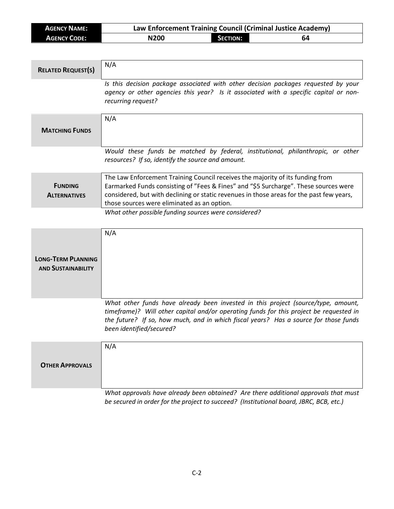| <b>AGENCY NAME:</b> | Law Enforcement Training Council (Criminal Justice Academy) |                 |    |
|---------------------|-------------------------------------------------------------|-----------------|----|
| <b>AGENCY CODE:</b> | N200                                                        | <b>SECTION:</b> | 64 |

| <b>RELATED REQUEST(S)</b>                              | N/A                                                                                                                                                                                                                                                                                                               |
|--------------------------------------------------------|-------------------------------------------------------------------------------------------------------------------------------------------------------------------------------------------------------------------------------------------------------------------------------------------------------------------|
|                                                        | Is this decision package associated with other decision packages requested by your<br>agency or other agencies this year? Is it associated with a specific capital or non-<br>recurring request?                                                                                                                  |
| <b>MATCHING FUNDS</b>                                  | N/A                                                                                                                                                                                                                                                                                                               |
|                                                        | Would these funds be matched by federal, institutional, philanthropic, or other<br>resources? If so, identify the source and amount.                                                                                                                                                                              |
| <b>FUNDING</b><br><b>ALTERNATIVES</b>                  | The Law Enforcement Training Council receives the majority of its funding from<br>Earmarked Funds consisting of "Fees & Fines" and "\$5 Surcharge". These sources were<br>considered, but with declining or static revenues in those areas for the past few years,<br>those sources were eliminated as an option. |
|                                                        | What other possible funding sources were considered?                                                                                                                                                                                                                                                              |
| <b>LONG-TERM PLANNING</b><br><b>AND SUSTAINABILITY</b> | N/A                                                                                                                                                                                                                                                                                                               |
|                                                        | What other funds have already been invested in this project (source/type, amount,<br>timeframe)? Will other capital and/or operating funds for this project be requested in<br>the future? If so, how much, and in which fiscal years? Has a source for those funds<br>been identified/secured?                   |
| <b>OTHER APPROVALS</b>                                 | N/A<br>What approvals have already been obtained? Are there additional approvals that must                                                                                                                                                                                                                        |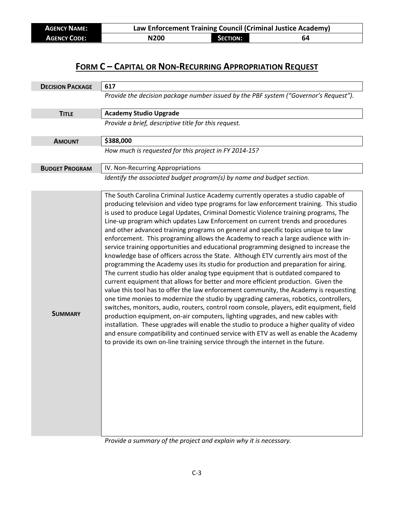| <b>AGENCY NAME:</b> | Law Enforcement Training Council (Criminal Justice Academy) |                 |    |
|---------------------|-------------------------------------------------------------|-----------------|----|
| <b>AGENCY CODE:</b> | N <sub>200</sub>                                            | <b>SECTION:</b> | 64 |

| <b>DECISION PACKAGE</b> | 617                                                                                                                                                                                                                                                                                                                                                                                                                                                                                                                                                                                                                                                                                                                                                                                                                                                                                                                                                                                                                                                                                                                                                                                                                                                                                                                                                                                                                                                                                                                                                                                                                  |  |  |
|-------------------------|----------------------------------------------------------------------------------------------------------------------------------------------------------------------------------------------------------------------------------------------------------------------------------------------------------------------------------------------------------------------------------------------------------------------------------------------------------------------------------------------------------------------------------------------------------------------------------------------------------------------------------------------------------------------------------------------------------------------------------------------------------------------------------------------------------------------------------------------------------------------------------------------------------------------------------------------------------------------------------------------------------------------------------------------------------------------------------------------------------------------------------------------------------------------------------------------------------------------------------------------------------------------------------------------------------------------------------------------------------------------------------------------------------------------------------------------------------------------------------------------------------------------------------------------------------------------------------------------------------------------|--|--|
|                         | Provide the decision package number issued by the PBF system ("Governor's Request").                                                                                                                                                                                                                                                                                                                                                                                                                                                                                                                                                                                                                                                                                                                                                                                                                                                                                                                                                                                                                                                                                                                                                                                                                                                                                                                                                                                                                                                                                                                                 |  |  |
| <b>TITLE</b>            | <b>Academy Studio Upgrade</b>                                                                                                                                                                                                                                                                                                                                                                                                                                                                                                                                                                                                                                                                                                                                                                                                                                                                                                                                                                                                                                                                                                                                                                                                                                                                                                                                                                                                                                                                                                                                                                                        |  |  |
|                         | Provide a brief, descriptive title for this request.                                                                                                                                                                                                                                                                                                                                                                                                                                                                                                                                                                                                                                                                                                                                                                                                                                                                                                                                                                                                                                                                                                                                                                                                                                                                                                                                                                                                                                                                                                                                                                 |  |  |
| <b>AMOUNT</b>           | \$388,000                                                                                                                                                                                                                                                                                                                                                                                                                                                                                                                                                                                                                                                                                                                                                                                                                                                                                                                                                                                                                                                                                                                                                                                                                                                                                                                                                                                                                                                                                                                                                                                                            |  |  |
|                         | How much is requested for this project in FY 2014-15?                                                                                                                                                                                                                                                                                                                                                                                                                                                                                                                                                                                                                                                                                                                                                                                                                                                                                                                                                                                                                                                                                                                                                                                                                                                                                                                                                                                                                                                                                                                                                                |  |  |
| <b>BUDGET PROGRAM</b>   | IV. Non-Recurring Appropriations                                                                                                                                                                                                                                                                                                                                                                                                                                                                                                                                                                                                                                                                                                                                                                                                                                                                                                                                                                                                                                                                                                                                                                                                                                                                                                                                                                                                                                                                                                                                                                                     |  |  |
|                         | Identify the associated budget program(s) by name and budget section.                                                                                                                                                                                                                                                                                                                                                                                                                                                                                                                                                                                                                                                                                                                                                                                                                                                                                                                                                                                                                                                                                                                                                                                                                                                                                                                                                                                                                                                                                                                                                |  |  |
| <b>SUMMARY</b>          | The South Carolina Criminal Justice Academy currently operates a studio capable of<br>producing television and video type programs for law enforcement training. This studio<br>is used to produce Legal Updates, Criminal Domestic Violence training programs, The<br>Line-up program which updates Law Enforcement on current trends and procedures<br>and other advanced training programs on general and specific topics unique to law<br>enforcement. This programing allows the Academy to reach a large audience with in-<br>service training opportunities and educational programming designed to increase the<br>knowledge base of officers across the State. Although ETV currently airs most of the<br>programming the Academy uses its studio for production and preparation for airing.<br>The current studio has older analog type equipment that is outdated compared to<br>current equipment that allows for better and more efficient production. Given the<br>value this tool has to offer the law enforcement community, the Academy is requesting<br>one time monies to modernize the studio by upgrading cameras, robotics, controllers,<br>switches, monitors, audio, routers, control room console, players, edit equipment, field<br>production equipment, on-air computers, lighting upgrades, and new cables with<br>installation. These upgrades will enable the studio to produce a higher quality of video<br>and ensure compatibility and continued service with ETV as well as enable the Academy<br>to provide its own on-line training service through the internet in the future. |  |  |

*Provide a summary of the project and explain why it is necessary.*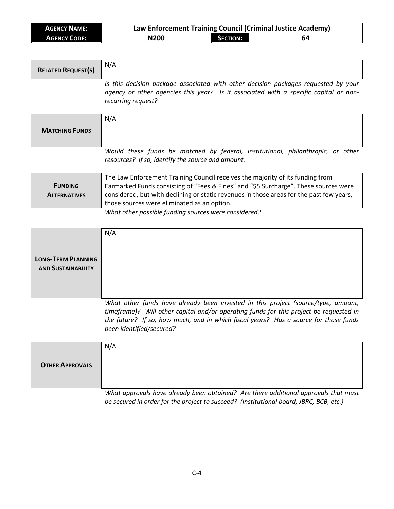| <b>AGENCY NAME:</b> | Law Enforcement Training Council (Criminal Justice Academy) |                 |    |
|---------------------|-------------------------------------------------------------|-----------------|----|
| <b>AGENCY CODE:</b> | N200                                                        | <b>SECTION:</b> | 64 |

| <b>RELATED REQUEST(S)</b>                              | N/A                                                                                                                                                                                                                                                                                                               |
|--------------------------------------------------------|-------------------------------------------------------------------------------------------------------------------------------------------------------------------------------------------------------------------------------------------------------------------------------------------------------------------|
|                                                        | Is this decision package associated with other decision packages requested by your<br>agency or other agencies this year? Is it associated with a specific capital or non-<br>recurring request?                                                                                                                  |
| <b>MATCHING FUNDS</b>                                  | N/A                                                                                                                                                                                                                                                                                                               |
|                                                        | Would these funds be matched by federal, institutional, philanthropic, or other<br>resources? If so, identify the source and amount.                                                                                                                                                                              |
| <b>FUNDING</b><br><b>ALTERNATIVES</b>                  | The Law Enforcement Training Council receives the majority of its funding from<br>Earmarked Funds consisting of "Fees & Fines" and "\$5 Surcharge". These sources were<br>considered, but with declining or static revenues in those areas for the past few years,<br>those sources were eliminated as an option. |
|                                                        | What other possible funding sources were considered?                                                                                                                                                                                                                                                              |
| <b>LONG-TERM PLANNING</b><br><b>AND SUSTAINABILITY</b> | N/A                                                                                                                                                                                                                                                                                                               |
|                                                        | What other funds have already been invested in this project (source/type, amount,<br>timeframe)? Will other capital and/or operating funds for this project be requested in<br>the future? If so, how much, and in which fiscal years? Has a source for those funds<br>been identified/secured?                   |
| <b>OTHER APPROVALS</b>                                 | N/A                                                                                                                                                                                                                                                                                                               |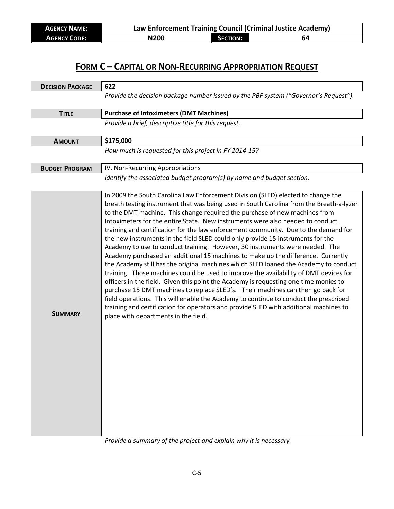| <b>AGENCY NAME:</b> | Law Enforcement Training Council (Criminal Justice Academy) |                 |    |
|---------------------|-------------------------------------------------------------|-----------------|----|
| <b>AGENCY CODE:</b> | N <sub>200</sub>                                            | <b>SECTION:</b> | 64 |

| <b>DECISION PACKAGE</b> | 622                                                                                                                                                                                                                                                                                                                                                                                                                                                                                                                                                                                                                                                                                                                                                                                                                                                                                                                                                                                                                                                                                                                                                                                                                                                                            |  |  |
|-------------------------|--------------------------------------------------------------------------------------------------------------------------------------------------------------------------------------------------------------------------------------------------------------------------------------------------------------------------------------------------------------------------------------------------------------------------------------------------------------------------------------------------------------------------------------------------------------------------------------------------------------------------------------------------------------------------------------------------------------------------------------------------------------------------------------------------------------------------------------------------------------------------------------------------------------------------------------------------------------------------------------------------------------------------------------------------------------------------------------------------------------------------------------------------------------------------------------------------------------------------------------------------------------------------------|--|--|
|                         | Provide the decision package number issued by the PBF system ("Governor's Request").                                                                                                                                                                                                                                                                                                                                                                                                                                                                                                                                                                                                                                                                                                                                                                                                                                                                                                                                                                                                                                                                                                                                                                                           |  |  |
| <b>TITLE</b>            | <b>Purchase of Intoximeters (DMT Machines)</b>                                                                                                                                                                                                                                                                                                                                                                                                                                                                                                                                                                                                                                                                                                                                                                                                                                                                                                                                                                                                                                                                                                                                                                                                                                 |  |  |
|                         | Provide a brief, descriptive title for this request.                                                                                                                                                                                                                                                                                                                                                                                                                                                                                                                                                                                                                                                                                                                                                                                                                                                                                                                                                                                                                                                                                                                                                                                                                           |  |  |
| <b>AMOUNT</b>           | \$175,000                                                                                                                                                                                                                                                                                                                                                                                                                                                                                                                                                                                                                                                                                                                                                                                                                                                                                                                                                                                                                                                                                                                                                                                                                                                                      |  |  |
|                         | How much is requested for this project in FY 2014-15?                                                                                                                                                                                                                                                                                                                                                                                                                                                                                                                                                                                                                                                                                                                                                                                                                                                                                                                                                                                                                                                                                                                                                                                                                          |  |  |
| <b>BUDGET PROGRAM</b>   | IV. Non-Recurring Appropriations                                                                                                                                                                                                                                                                                                                                                                                                                                                                                                                                                                                                                                                                                                                                                                                                                                                                                                                                                                                                                                                                                                                                                                                                                                               |  |  |
|                         | Identify the associated budget program(s) by name and budget section.                                                                                                                                                                                                                                                                                                                                                                                                                                                                                                                                                                                                                                                                                                                                                                                                                                                                                                                                                                                                                                                                                                                                                                                                          |  |  |
| <b>SUMMARY</b>          | In 2009 the South Carolina Law Enforcement Division (SLED) elected to change the<br>breath testing instrument that was being used in South Carolina from the Breath-a-lyzer<br>to the DMT machine. This change required the purchase of new machines from<br>Intoximeters for the entire State. New instruments were also needed to conduct<br>training and certification for the law enforcement community. Due to the demand for<br>the new instruments in the field SLED could only provide 15 instruments for the<br>Academy to use to conduct training. However, 30 instruments were needed. The<br>Academy purchased an additional 15 machines to make up the difference. Currently<br>the Academy still has the original machines which SLED loaned the Academy to conduct<br>training. Those machines could be used to improve the availability of DMT devices for<br>officers in the field. Given this point the Academy is requesting one time monies to<br>purchase 15 DMT machines to replace SLED's. Their machines can then go back for<br>field operations. This will enable the Academy to continue to conduct the prescribed<br>training and certification for operators and provide SLED with additional machines to<br>place with departments in the field. |  |  |

*Provide a summary of the project and explain why it is necessary.*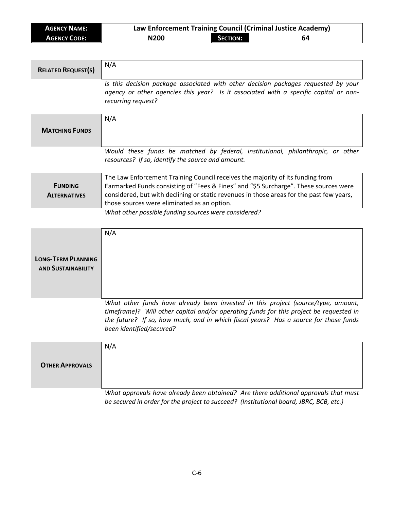| <b>AGENCY NAME:</b> | Law Enforcement Training Council (Criminal Justice Academy) |                 |    |
|---------------------|-------------------------------------------------------------|-----------------|----|
| <b>AGENCY CODE:</b> | N200                                                        | <b>SECTION:</b> | 64 |

| <b>RELATED REQUEST(S)</b>                              | N/A                                                                                                                                                                                                                                                                                                               |
|--------------------------------------------------------|-------------------------------------------------------------------------------------------------------------------------------------------------------------------------------------------------------------------------------------------------------------------------------------------------------------------|
|                                                        | Is this decision package associated with other decision packages requested by your<br>agency or other agencies this year? Is it associated with a specific capital or non-<br>recurring request?                                                                                                                  |
| <b>MATCHING FUNDS</b>                                  | N/A                                                                                                                                                                                                                                                                                                               |
|                                                        | Would these funds be matched by federal, institutional, philanthropic, or other<br>resources? If so, identify the source and amount.                                                                                                                                                                              |
| <b>FUNDING</b><br><b>ALTERNATIVES</b>                  | The Law Enforcement Training Council receives the majority of its funding from<br>Earmarked Funds consisting of "Fees & Fines" and "\$5 Surcharge". These sources were<br>considered, but with declining or static revenues in those areas for the past few years,<br>those sources were eliminated as an option. |
|                                                        | What other possible funding sources were considered?                                                                                                                                                                                                                                                              |
| <b>LONG-TERM PLANNING</b><br><b>AND SUSTAINABILITY</b> | N/A                                                                                                                                                                                                                                                                                                               |
|                                                        | What other funds have already been invested in this project (source/type, amount,<br>timeframe)? Will other capital and/or operating funds for this project be requested in<br>the future? If so, how much, and in which fiscal years? Has a source for those funds<br>been identified/secured?                   |
| <b>OTHER APPROVALS</b>                                 | N/A                                                                                                                                                                                                                                                                                                               |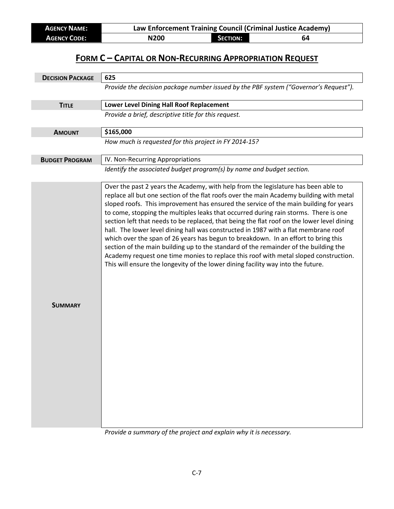| <b>AGENCY NAME:</b> | Law Enforcement Training Council (Criminal Justice Academy) |                 |    |
|---------------------|-------------------------------------------------------------|-----------------|----|
| <b>AGENCY CODE:</b> | N200                                                        | <b>SECTION:</b> | 64 |

| <b>DECISION PACKAGE</b> | 625                                                                                                                                                                                                                                                                                                                                                                                                                                                                                                                                                                                                                                                                                                                                                                                                                                                                                                           |
|-------------------------|---------------------------------------------------------------------------------------------------------------------------------------------------------------------------------------------------------------------------------------------------------------------------------------------------------------------------------------------------------------------------------------------------------------------------------------------------------------------------------------------------------------------------------------------------------------------------------------------------------------------------------------------------------------------------------------------------------------------------------------------------------------------------------------------------------------------------------------------------------------------------------------------------------------|
|                         | Provide the decision package number issued by the PBF system ("Governor's Request").                                                                                                                                                                                                                                                                                                                                                                                                                                                                                                                                                                                                                                                                                                                                                                                                                          |
| <b>TITLE</b>            | Lower Level Dining Hall Roof Replacement                                                                                                                                                                                                                                                                                                                                                                                                                                                                                                                                                                                                                                                                                                                                                                                                                                                                      |
|                         | Provide a brief, descriptive title for this request.                                                                                                                                                                                                                                                                                                                                                                                                                                                                                                                                                                                                                                                                                                                                                                                                                                                          |
| <b>AMOUNT</b>           | \$165,000                                                                                                                                                                                                                                                                                                                                                                                                                                                                                                                                                                                                                                                                                                                                                                                                                                                                                                     |
|                         | How much is requested for this project in FY 2014-15?                                                                                                                                                                                                                                                                                                                                                                                                                                                                                                                                                                                                                                                                                                                                                                                                                                                         |
| <b>BUDGET PROGRAM</b>   | IV. Non-Recurring Appropriations                                                                                                                                                                                                                                                                                                                                                                                                                                                                                                                                                                                                                                                                                                                                                                                                                                                                              |
|                         | Identify the associated budget program(s) by name and budget section.                                                                                                                                                                                                                                                                                                                                                                                                                                                                                                                                                                                                                                                                                                                                                                                                                                         |
| <b>SUMMARY</b>          | Over the past 2 years the Academy, with help from the legislature has been able to<br>replace all but one section of the flat roofs over the main Academy building with metal<br>sloped roofs. This improvement has ensured the service of the main building for years<br>to come, stopping the multiples leaks that occurred during rain storms. There is one<br>section left that needs to be replaced, that being the flat roof on the lower level dining<br>hall. The lower level dining hall was constructed in 1987 with a flat membrane roof<br>which over the span of 26 years has begun to breakdown. In an effort to bring this<br>section of the main building up to the standard of the remainder of the building the<br>Academy request one time monies to replace this roof with metal sloped construction.<br>This will ensure the longevity of the lower dining facility way into the future. |

*Provide a summary of the project and explain why it is necessary.*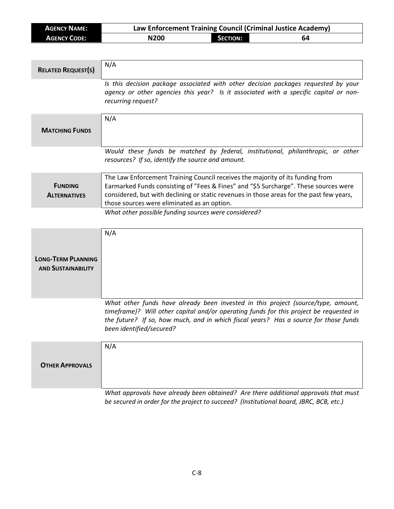| <b>AGENCY NAME:</b> | Law Enforcement Training Council (Criminal Justice Academy) |                 |    |
|---------------------|-------------------------------------------------------------|-----------------|----|
| <b>AGENCY CODE:</b> | N200                                                        | <b>SECTION:</b> | 64 |

| <b>RELATED REQUEST(S)</b>                              | N/A                                                                                                                                                                                                                                                                                                               |
|--------------------------------------------------------|-------------------------------------------------------------------------------------------------------------------------------------------------------------------------------------------------------------------------------------------------------------------------------------------------------------------|
|                                                        | Is this decision package associated with other decision packages requested by your<br>agency or other agencies this year? Is it associated with a specific capital or non-<br>recurring request?                                                                                                                  |
| <b>MATCHING FUNDS</b>                                  | N/A                                                                                                                                                                                                                                                                                                               |
|                                                        | Would these funds be matched by federal, institutional, philanthropic, or other<br>resources? If so, identify the source and amount.                                                                                                                                                                              |
| <b>FUNDING</b><br><b>ALTERNATIVES</b>                  | The Law Enforcement Training Council receives the majority of its funding from<br>Earmarked Funds consisting of "Fees & Fines" and "\$5 Surcharge". These sources were<br>considered, but with declining or static revenues in those areas for the past few years,<br>those sources were eliminated as an option. |
|                                                        | What other possible funding sources were considered?                                                                                                                                                                                                                                                              |
| <b>LONG-TERM PLANNING</b><br><b>AND SUSTAINABILITY</b> | N/A                                                                                                                                                                                                                                                                                                               |
|                                                        | What other funds have already been invested in this project (source/type, amount,<br>timeframe)? Will other capital and/or operating funds for this project be requested in<br>the future? If so, how much, and in which fiscal years? Has a source for those funds<br>been identified/secured?                   |
| <b>OTHER APPROVALS</b>                                 | N/A                                                                                                                                                                                                                                                                                                               |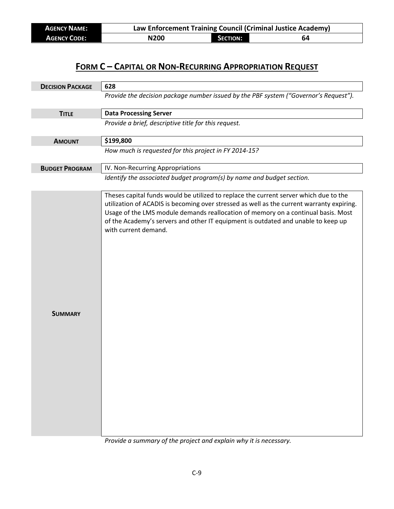| <b>AGENCY NAME:</b> | Law Enforcement Training Council (Criminal Justice Academy) |                 |    |
|---------------------|-------------------------------------------------------------|-----------------|----|
| <b>AGENCY CODE:</b> | N200                                                        | <b>SECTION:</b> | 64 |

| <b>DECISION PACKAGE</b> | 628                                                                                                                                                                                                                                                                                                                                                                                  |  |  |
|-------------------------|--------------------------------------------------------------------------------------------------------------------------------------------------------------------------------------------------------------------------------------------------------------------------------------------------------------------------------------------------------------------------------------|--|--|
|                         | Provide the decision package number issued by the PBF system ("Governor's Request").                                                                                                                                                                                                                                                                                                 |  |  |
| <b>TITLE</b>            | <b>Data Processing Server</b>                                                                                                                                                                                                                                                                                                                                                        |  |  |
|                         | Provide a brief, descriptive title for this request.                                                                                                                                                                                                                                                                                                                                 |  |  |
| <b>AMOUNT</b>           | \$199,800                                                                                                                                                                                                                                                                                                                                                                            |  |  |
|                         | How much is requested for this project in FY 2014-15?                                                                                                                                                                                                                                                                                                                                |  |  |
| <b>BUDGET PROGRAM</b>   | IV. Non-Recurring Appropriations                                                                                                                                                                                                                                                                                                                                                     |  |  |
|                         | Identify the associated budget program(s) by name and budget section.                                                                                                                                                                                                                                                                                                                |  |  |
| <b>SUMMARY</b>          | Theses capital funds would be utilized to replace the current server which due to the<br>utilization of ACADIS is becoming over stressed as well as the current warranty expiring.<br>Usage of the LMS module demands reallocation of memory on a continual basis. Most<br>of the Academy's servers and other IT equipment is outdated and unable to keep up<br>with current demand. |  |  |

*Provide a summary of the project and explain why it is necessary.*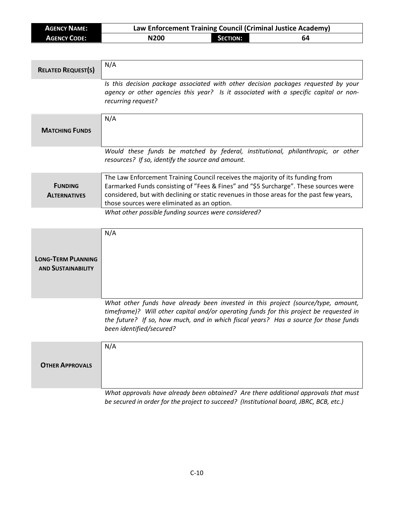| <b>AGENCY NAME:</b> | Law Enforcement Training Council (Criminal Justice Academy) |                 |    |
|---------------------|-------------------------------------------------------------|-----------------|----|
| <b>AGENCY CODE:</b> | N200                                                        | <b>SECTION:</b> | 64 |

| <b>RELATED REQUEST(S)</b>                              | N/A                                                                                                                                                                                                                                                                                                               |
|--------------------------------------------------------|-------------------------------------------------------------------------------------------------------------------------------------------------------------------------------------------------------------------------------------------------------------------------------------------------------------------|
|                                                        | Is this decision package associated with other decision packages requested by your<br>agency or other agencies this year? Is it associated with a specific capital or non-<br>recurring request?                                                                                                                  |
| <b>MATCHING FUNDS</b>                                  | N/A                                                                                                                                                                                                                                                                                                               |
|                                                        | Would these funds be matched by federal, institutional, philanthropic, or other<br>resources? If so, identify the source and amount.                                                                                                                                                                              |
| <b>FUNDING</b><br><b>ALTERNATIVES</b>                  | The Law Enforcement Training Council receives the majority of its funding from<br>Earmarked Funds consisting of "Fees & Fines" and "\$5 Surcharge". These sources were<br>considered, but with declining or static revenues in those areas for the past few years,<br>those sources were eliminated as an option. |
|                                                        | What other possible funding sources were considered?                                                                                                                                                                                                                                                              |
| <b>LONG-TERM PLANNING</b><br><b>AND SUSTAINABILITY</b> | N/A                                                                                                                                                                                                                                                                                                               |
|                                                        | What other funds have already been invested in this project (source/type, amount,<br>timeframe)? Will other capital and/or operating funds for this project be requested in<br>the future? If so, how much, and in which fiscal years? Has a source for those funds<br>been identified/secured?                   |
| <b>OTHER APPROVALS</b>                                 | N/A                                                                                                                                                                                                                                                                                                               |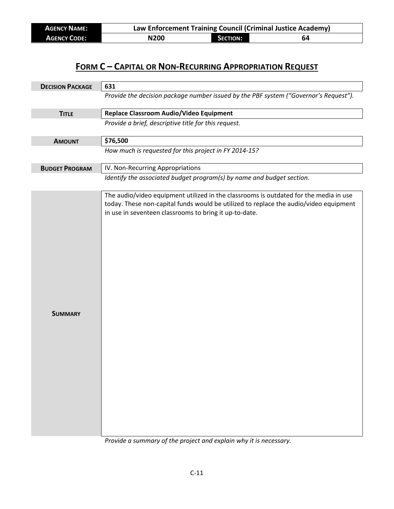| <b>AGENCY NAME:</b> | Law Enforcement Training Council (Criminal Justice Academy) |          |    |
|---------------------|-------------------------------------------------------------|----------|----|
| <b>AGENCY CODE:</b> | N <sub>200</sub>                                            | SECTION: | 64 |

| <b>DECISION PACKAGE</b> | 631                                                                                                                                                                                                                                      |  |  |  |
|-------------------------|------------------------------------------------------------------------------------------------------------------------------------------------------------------------------------------------------------------------------------------|--|--|--|
|                         | Provide the decision package number issued by the PBF system ("Governor's Request").                                                                                                                                                     |  |  |  |
| <b>TITLE</b>            | Replace Classroom Audio/Video Equipment                                                                                                                                                                                                  |  |  |  |
|                         | Provide a brief, descriptive title for this request.                                                                                                                                                                                     |  |  |  |
| <b>AMOUNT</b>           | \$76,500                                                                                                                                                                                                                                 |  |  |  |
|                         | How much is requested for this project in FY 2014-15?                                                                                                                                                                                    |  |  |  |
| <b>BUDGET PROGRAM</b>   | IV. Non-Recurring Appropriations                                                                                                                                                                                                         |  |  |  |
|                         | Identify the associated budget program(s) by name and budget section.                                                                                                                                                                    |  |  |  |
| <b>SUMMARY</b>          | The audio/video equipment utilized in the classrooms is outdated for the media in use<br>today. These non-capital funds would be utilized to replace the audio/video equipment<br>in use in seventeen classrooms to bring it up-to-date. |  |  |  |

*Provide a summary of the project and explain why it is necessary.*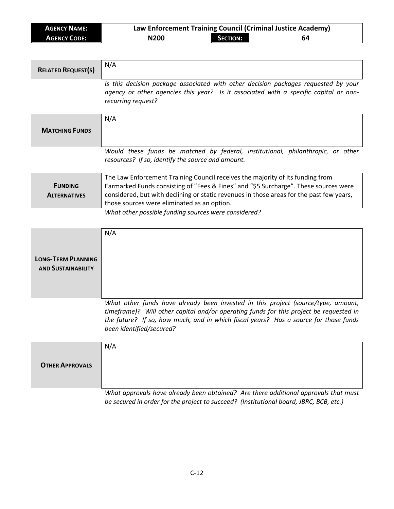| <b>AGENCY NAME:</b> | Law Enforcement Training Council (Criminal Justice Academy) |                 |    |
|---------------------|-------------------------------------------------------------|-----------------|----|
| <b>AGENCY CODE:</b> | N200                                                        | <b>SECTION:</b> | 64 |

| <b>RELATED REQUEST(S)</b>                              | N/A                                                                                                                                                                                                                                                                                                               |
|--------------------------------------------------------|-------------------------------------------------------------------------------------------------------------------------------------------------------------------------------------------------------------------------------------------------------------------------------------------------------------------|
|                                                        | Is this decision package associated with other decision packages requested by your<br>agency or other agencies this year? Is it associated with a specific capital or non-<br>recurring request?                                                                                                                  |
| <b>MATCHING FUNDS</b>                                  | N/A                                                                                                                                                                                                                                                                                                               |
|                                                        | Would these funds be matched by federal, institutional, philanthropic, or other<br>resources? If so, identify the source and amount.                                                                                                                                                                              |
| <b>FUNDING</b><br><b>ALTERNATIVES</b>                  | The Law Enforcement Training Council receives the majority of its funding from<br>Earmarked Funds consisting of "Fees & Fines" and "\$5 Surcharge". These sources were<br>considered, but with declining or static revenues in those areas for the past few years,<br>those sources were eliminated as an option. |
|                                                        | What other possible funding sources were considered?                                                                                                                                                                                                                                                              |
| <b>LONG-TERM PLANNING</b><br><b>AND SUSTAINABILITY</b> | N/A                                                                                                                                                                                                                                                                                                               |
|                                                        | What other funds have already been invested in this project (source/type, amount,<br>timeframe)? Will other capital and/or operating funds for this project be requested in<br>the future? If so, how much, and in which fiscal years? Has a source for those funds<br>been identified/secured?                   |
| <b>OTHER APPROVALS</b>                                 | N/A                                                                                                                                                                                                                                                                                                               |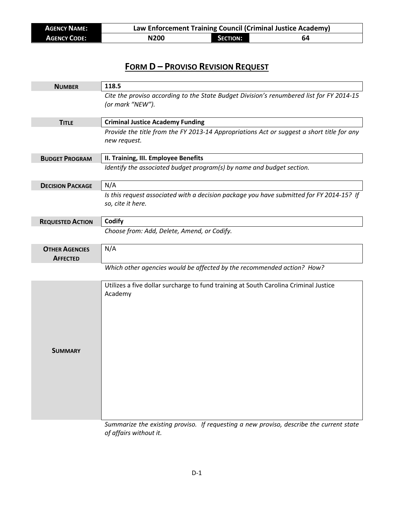| <b>AGENCY NAME:</b> | Law Enforcement Training Council (Criminal Justice Academy) |                 |    |
|---------------------|-------------------------------------------------------------|-----------------|----|
| <b>AGENCY CODE:</b> | N200                                                        | <b>SECTION:</b> | 64 |

#### **FORM D – PROVISO REVISION REQUEST**

| <b>NUMBER</b>                            | 118.5                                                                                                         |
|------------------------------------------|---------------------------------------------------------------------------------------------------------------|
|                                          | Cite the proviso according to the State Budget Division's renumbered list for FY 2014-15<br>(or mark "NEW").  |
| <b>TITLE</b>                             | <b>Criminal Justice Academy Funding</b>                                                                       |
|                                          | Provide the title from the FY 2013-14 Appropriations Act or suggest a short title for any<br>new request.     |
| <b>BUDGET PROGRAM</b>                    | II. Training, III. Employee Benefits                                                                          |
|                                          | Identify the associated budget program(s) by name and budget section.                                         |
| <b>DECISION PACKAGE</b>                  | N/A                                                                                                           |
|                                          | Is this request associated with a decision package you have submitted for FY 2014-15? If<br>so, cite it here. |
| <b>REQUESTED ACTION</b>                  | Codify                                                                                                        |
|                                          | Choose from: Add, Delete, Amend, or Codify.                                                                   |
| <b>OTHER AGENCIES</b><br><b>AFFECTED</b> | N/A                                                                                                           |
|                                          | Which other agencies would be affected by the recommended action? How?                                        |
| <b>SUMMARY</b>                           | Utilizes a five dollar surcharge to fund training at South Carolina Criminal Justice<br>Academy               |

*Summarize the existing proviso. If requesting a new proviso, describe the current state of affairs without it.*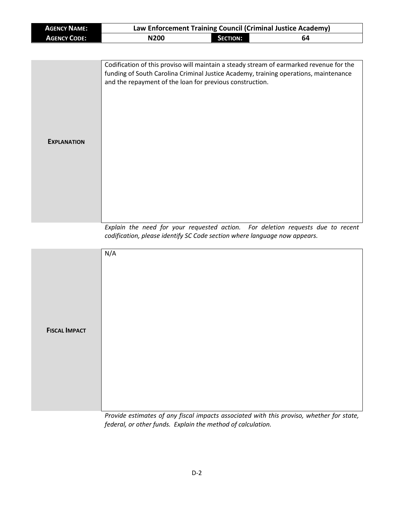| <b>AGENCY NAME:</b> | Law Enforcement Training Council (Criminal Justice Academy)                                                                                                                                                                                 |                 |    |  |
|---------------------|---------------------------------------------------------------------------------------------------------------------------------------------------------------------------------------------------------------------------------------------|-----------------|----|--|
| <b>AGENCY CODE:</b> | N200                                                                                                                                                                                                                                        | <b>SECTION:</b> | 64 |  |
|                     |                                                                                                                                                                                                                                             |                 |    |  |
| <b>EXPLANATION</b>  | Codification of this proviso will maintain a steady stream of earmarked revenue for the<br>funding of South Carolina Criminal Justice Academy, training operations, maintenance<br>and the repayment of the loan for previous construction. |                 |    |  |

*Explain the need for your requested action. For deletion requests due to recent codification, please identify SC Code section where language now appears.*

|                      | N/A                                                                                 |
|----------------------|-------------------------------------------------------------------------------------|
| <b>FISCAL IMPACT</b> | المارون والمتارين والموافق والمتارين المتارين والمتارين والمحارب والمناور والمتارين |

*Provide estimates of any fiscal impacts associated with this proviso, whether for state, federal, or other funds. Explain the method of calculation.*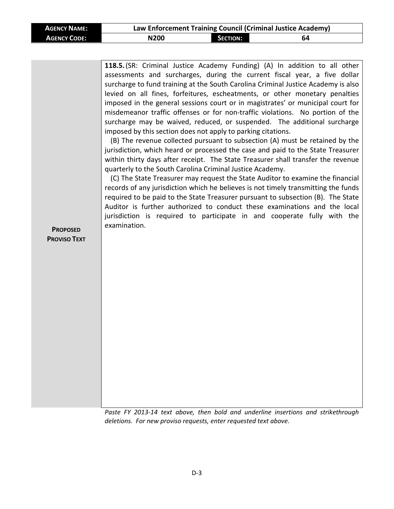| <b>AGENCY NAME:</b> | Law Enforcement Training Council (Criminal Justice Academy) |                 |    |
|---------------------|-------------------------------------------------------------|-----------------|----|
| <b>AGENCY CODE:</b> | <b>N200</b>                                                 | <b>SECTION:</b> | 64 |

| <b>PROPOSED</b><br><b>PROVISO TEXT</b> | 118.5. (SR: Criminal Justice Academy Funding) (A) In addition to all other<br>assessments and surcharges, during the current fiscal year, a five dollar<br>surcharge to fund training at the South Carolina Criminal Justice Academy is also<br>levied on all fines, forfeitures, escheatments, or other monetary penalties<br>imposed in the general sessions court or in magistrates' or municipal court for<br>misdemeanor traffic offenses or for non-traffic violations. No portion of the<br>surcharge may be waived, reduced, or suspended. The additional surcharge<br>imposed by this section does not apply to parking citations.<br>(B) The revenue collected pursuant to subsection (A) must be retained by the<br>jurisdiction, which heard or processed the case and paid to the State Treasurer<br>within thirty days after receipt. The State Treasurer shall transfer the revenue<br>quarterly to the South Carolina Criminal Justice Academy.<br>(C) The State Treasurer may request the State Auditor to examine the financial<br>records of any jurisdiction which he believes is not timely transmitting the funds<br>required to be paid to the State Treasurer pursuant to subsection (B). The State<br>Auditor is further authorized to conduct these examinations and the local<br>jurisdiction is required to participate in and cooperate fully with the<br>examination. |
|----------------------------------------|-----------------------------------------------------------------------------------------------------------------------------------------------------------------------------------------------------------------------------------------------------------------------------------------------------------------------------------------------------------------------------------------------------------------------------------------------------------------------------------------------------------------------------------------------------------------------------------------------------------------------------------------------------------------------------------------------------------------------------------------------------------------------------------------------------------------------------------------------------------------------------------------------------------------------------------------------------------------------------------------------------------------------------------------------------------------------------------------------------------------------------------------------------------------------------------------------------------------------------------------------------------------------------------------------------------------------------------------------------------------------------------------------------|
|----------------------------------------|-----------------------------------------------------------------------------------------------------------------------------------------------------------------------------------------------------------------------------------------------------------------------------------------------------------------------------------------------------------------------------------------------------------------------------------------------------------------------------------------------------------------------------------------------------------------------------------------------------------------------------------------------------------------------------------------------------------------------------------------------------------------------------------------------------------------------------------------------------------------------------------------------------------------------------------------------------------------------------------------------------------------------------------------------------------------------------------------------------------------------------------------------------------------------------------------------------------------------------------------------------------------------------------------------------------------------------------------------------------------------------------------------------|

*Paste FY 2013-14 text above, then bold and underline insertions and strikethrough deletions. For new proviso requests, enter requested text above.*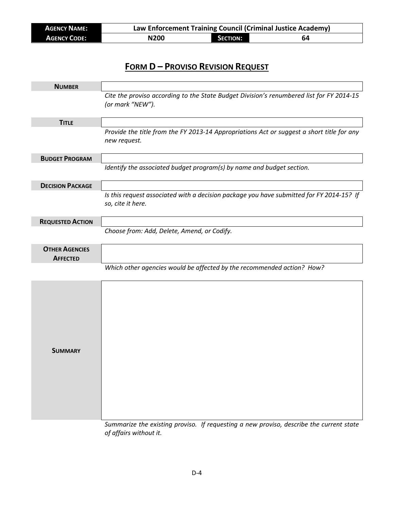| <b>AGENCY NAME:</b> | Law Enforcement Training Council (Criminal Justice Academy) |                 |    |
|---------------------|-------------------------------------------------------------|-----------------|----|
| <b>AGENCY CODE:</b> | N200                                                        | <b>SECTION:</b> | 64 |

### **FORM D – PROVISO REVISION REQUEST**

| <b>NUMBER</b>                            |                                                                                                               |
|------------------------------------------|---------------------------------------------------------------------------------------------------------------|
|                                          | Cite the proviso according to the State Budget Division's renumbered list for FY 2014-15<br>(or mark "NEW").  |
| <b>TITLE</b>                             |                                                                                                               |
|                                          | Provide the title from the FY 2013-14 Appropriations Act or suggest a short title for any<br>new request.     |
| <b>BUDGET PROGRAM</b>                    |                                                                                                               |
|                                          | Identify the associated budget program(s) by name and budget section.                                         |
| <b>DECISION PACKAGE</b>                  |                                                                                                               |
|                                          | Is this request associated with a decision package you have submitted for FY 2014-15? If<br>so, cite it here. |
| <b>REQUESTED ACTION</b>                  |                                                                                                               |
|                                          | Choose from: Add, Delete, Amend, or Codify.                                                                   |
| <b>OTHER AGENCIES</b><br><b>AFFECTED</b> |                                                                                                               |
|                                          | Which other agencies would be affected by the recommended action? How?                                        |
| <b>SUMMARY</b>                           |                                                                                                               |

*Summarize the existing proviso. If requesting a new proviso, describe the current state of affairs without it.*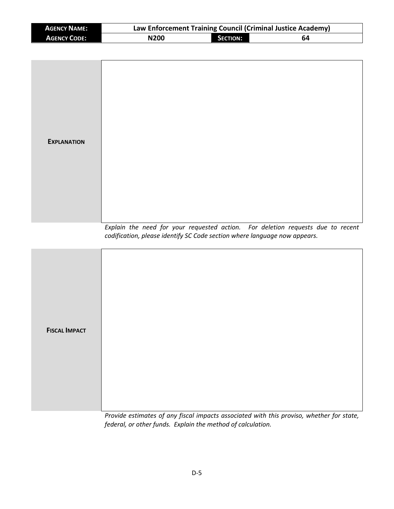| <b>AGENCY NAME:</b>  | Law Enforcement Training Council (Criminal Justice Academy)               |                 |                                                                                 |  |  |
|----------------------|---------------------------------------------------------------------------|-----------------|---------------------------------------------------------------------------------|--|--|
| <b>AGENCY CODE:</b>  | <b>N200</b>                                                               | <b>SECTION:</b> | 64                                                                              |  |  |
|                      |                                                                           |                 |                                                                                 |  |  |
| <b>EXPLANATION</b>   |                                                                           |                 |                                                                                 |  |  |
|                      | codification, please identify SC Code section where language now appears. |                 | Explain the need for your requested action. For deletion requests due to recent |  |  |
| <b>FISCAL IMPACT</b> |                                                                           |                 |                                                                                 |  |  |

*Provide estimates of any fiscal impacts associated with this proviso, whether for state, federal, or other funds. Explain the method of calculation.*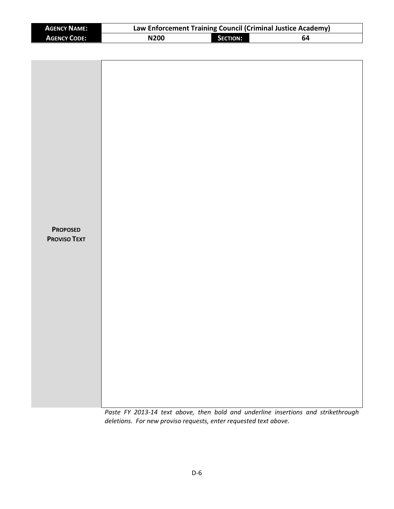| <b>AGENCY NAME:</b> | Law Enforcement Training Council (Criminal Justice Academy) |                 |    |  |  |
|---------------------|-------------------------------------------------------------|-----------------|----|--|--|
| <b>AGENCY CODE:</b> | N <sub>200</sub>                                            | <b>SECTION:</b> | 64 |  |  |

| <b>PROPOSED</b><br><b>PROVISO TEXT</b> |  |  |  |
|----------------------------------------|--|--|--|
|                                        |  |  |  |

*Paste FY 2013-14 text above, then bold and underline insertions and strikethrough deletions. For new proviso requests, enter requested text above.*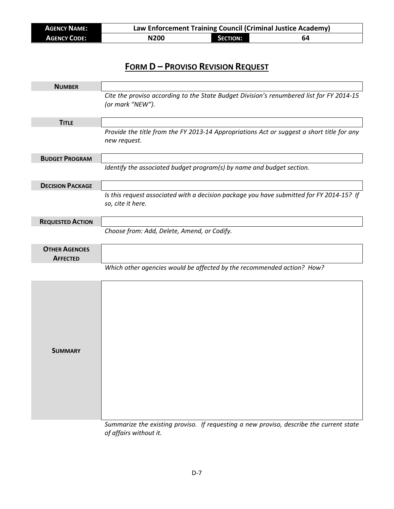| <b>AGENCY NAME:</b> | Law Enforcement Training Council (Criminal Justice Academy) |                 |    |  |  |
|---------------------|-------------------------------------------------------------|-----------------|----|--|--|
| <b>AGENCY CODE:</b> | N <sub>200</sub>                                            | <b>SECTION:</b> | 64 |  |  |

### **FORM D – PROVISO REVISION REQUEST**

| <b>NUMBER</b>                            |                                                                                                               |
|------------------------------------------|---------------------------------------------------------------------------------------------------------------|
|                                          | Cite the proviso according to the State Budget Division's renumbered list for FY 2014-15<br>(or mark "NEW").  |
| <b>TITLE</b>                             |                                                                                                               |
|                                          | Provide the title from the FY 2013-14 Appropriations Act or suggest a short title for any<br>new request.     |
| <b>BUDGET PROGRAM</b>                    |                                                                                                               |
|                                          | Identify the associated budget program(s) by name and budget section.                                         |
| <b>DECISION PACKAGE</b>                  |                                                                                                               |
|                                          | Is this request associated with a decision package you have submitted for FY 2014-15? If<br>so, cite it here. |
| <b>REQUESTED ACTION</b>                  |                                                                                                               |
|                                          | Choose from: Add, Delete, Amend, or Codify.                                                                   |
| <b>OTHER AGENCIES</b><br><b>AFFECTED</b> |                                                                                                               |
|                                          | Which other agencies would be affected by the recommended action? How?                                        |
| <b>SUMMARY</b>                           |                                                                                                               |

*Summarize the existing proviso. If requesting a new proviso, describe the current state of affairs without it.*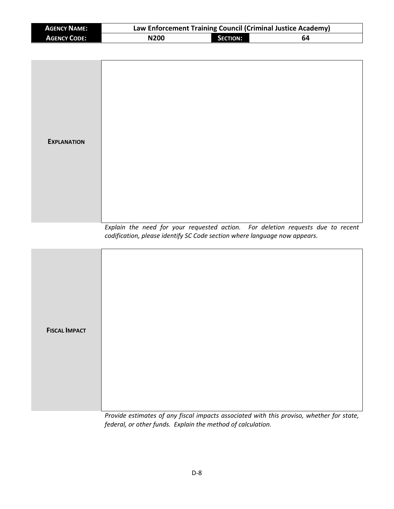| <b>AGENCY NAME:</b>  | Law Enforcement Training Council (Criminal Justice Academy)               |                 |                                                                                 |  |  |  |
|----------------------|---------------------------------------------------------------------------|-----------------|---------------------------------------------------------------------------------|--|--|--|
| <b>AGENCY CODE:</b>  | <b>N200</b>                                                               | <b>SECTION:</b> | 64                                                                              |  |  |  |
|                      |                                                                           |                 |                                                                                 |  |  |  |
| <b>EXPLANATION</b>   |                                                                           |                 |                                                                                 |  |  |  |
|                      | codification, please identify SC Code section where language now appears. |                 | Explain the need for your requested action. For deletion requests due to recent |  |  |  |
| <b>FISCAL IMPACT</b> |                                                                           |                 |                                                                                 |  |  |  |

*Provide estimates of any fiscal impacts associated with this proviso, whether for state, federal, or other funds. Explain the method of calculation.*